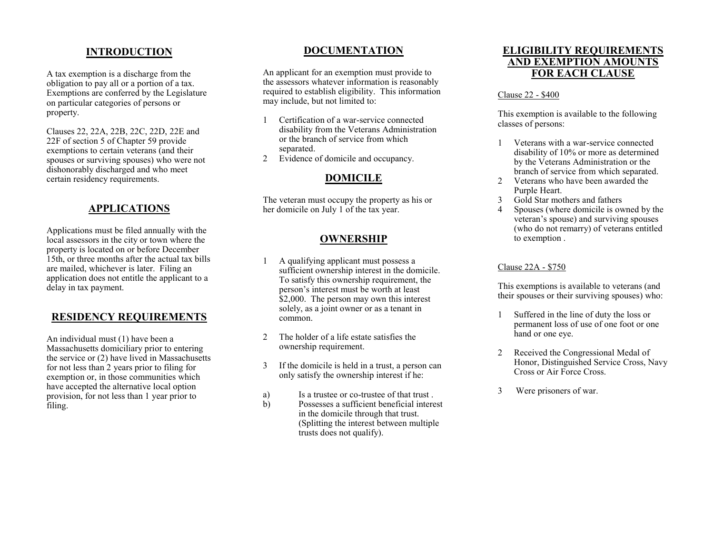### **INTRODUCTION**

A tax exemption is a discharge from the obligation to pay all or a portion of a tax. Exemptions are conferred by the Legislature on particular categories of persons or property.

Clauses 22, 22A, 22B, 22C, 22D, 22E and 22F of section 5 of Chapter 59 provide exemptions to certain veterans (and their spouses or surviving spouses) who were not dishonorably discharged and who meet certain residency requirements.

# **APPLICATIONS**

Applications must be filed annually with the local assessors in the city or town where the property is located on or before December 15th, or three months after the actual tax bills are mailed, whichever is later. Filing an application does not entitle the applicant to a delay in tax payment.

## **RESIDENCY REQUIREMENTS**

An individual must (1) have been a Massachusetts domiciliary prior to entering the service or (2) have lived in Massachusetts for not less than 2 years prior to filing for exemption or, in those communities which have accepted the alternative local option provision, for not less than 1 year prior to filing.

# **DOCUMENTATION**

An applicant for an exemption must provide to the assessors whatever information is reasonably required to establish eligibility. This information may include, but not limited to:

- 1 Certification of a war-service connected disability from the Veterans Administration or the branch of service from which separated.
- 2 Evidence of domicile and occupancy.

### **DOMICILE**

The veteran must occupy the property as his or her domicile on July 1 of the tax year.

### **OWNERSHIP**

- 1 A qualifying applicant must possess a sufficient ownership interest in the domicile. To satisfy this ownership requirement, the person's interest must be worth at least \$2,000. The person may own this interest solely, as a joint owner or as a tenant in common.
- 2 The holder of a life estate satisfies the ownership requirement.
- 3 If the domicile is held in a trust, a person can only satisfy the ownership interest if he:
- a) Is a trustee or co-trustee of that trust .
- b) Possesses a sufficient beneficial interest in the domicile through that trust. (Splitting the interest between multiple trusts does not qualify).

### **ELIGIBILITY REQUIREMENTS AND EXEMPTION AMOUNTS FOR EACH CLAUSE**

#### Clause 22 - \$400

This exemption is available to the following classes of persons:

- 1 Veterans with a war-service connected disability of 10% or more as determined by the Veterans Administration or the branch of service from which separated.
- 2 Veterans who have been awarded the Purple Heart.
- 3 Gold Star mothers and fathers
- 4 Spouses (where domicile is owned by the veteran's spouse) and surviving spouses (who do not remarry) of veterans entitled to exemption .

#### Clause 22A - \$750

This exemptions is available to veterans (and their spouses or their surviving spouses) who:

- 1 Suffered in the line of duty the loss or permanent loss of use of one foot or one hand or one eye.
- 2 Received the Congressional Medal of Honor, Distinguished Service Cross, Navy Cross or Air Force Cross.
- 3 Were prisoners of war.